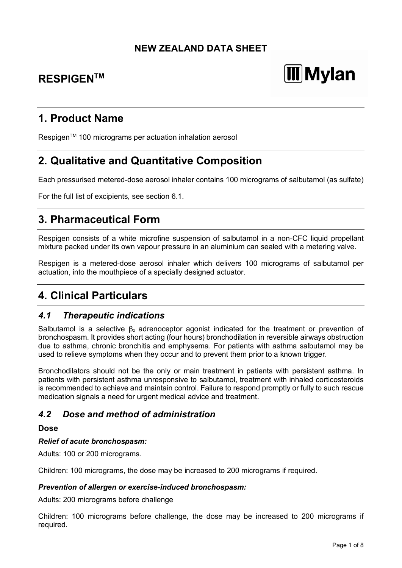# **NEW ZEALAND DATA SHEET**

# **RESPIGENTM**

# **III** Mylan

# **1. Product Name**

Respigen<sup>™</sup> 100 micrograms per actuation inhalation aerosol

# **2. Qualitative and Quantitative Composition**

Each pressurised metered-dose aerosol inhaler contains 100 micrograms of salbutamol (as sulfate)

For the full list of excipients, see section 6.1.

# **3. Pharmaceutical Form**

Respigen consists of a white microfine suspension of salbutamol in a non-CFC liquid propellant mixture packed under its own vapour pressure in an aluminium can sealed with a metering valve.

Respigen is a metered-dose aerosol inhaler which delivers 100 micrograms of salbutamol per actuation, into the mouthpiece of a specially designed actuator.

# **4. Clinical Particulars**

## *4.1 Therapeutic indications*

Salbutamol is a selective β<sub>2</sub> adrenoceptor agonist indicated for the treatment or prevention of bronchospasm. It provides short acting (four hours) bronchodilation in reversible airways obstruction due to asthma, chronic bronchitis and emphysema. For patients with asthma salbutamol may be used to relieve symptoms when they occur and to prevent them prior to a known trigger.

Bronchodilators should not be the only or main treatment in patients with persistent asthma. In patients with persistent asthma unresponsive to salbutamol, treatment with inhaled corticosteroids is recommended to achieve and maintain control. Failure to respond promptly or fully to such rescue medication signals a need for urgent medical advice and treatment.

# *4.2 Dose and method of administration*

#### **Dose**

#### *Relief of acute bronchospasm:*

Adults: 100 or 200 micrograms.

Children: 100 micrograms, the dose may be increased to 200 micrograms if required.

#### *Prevention of allergen or exercise-induced bronchospasm:*

Adults: 200 micrograms before challenge

Children: 100 micrograms before challenge, the dose may be increased to 200 micrograms if required.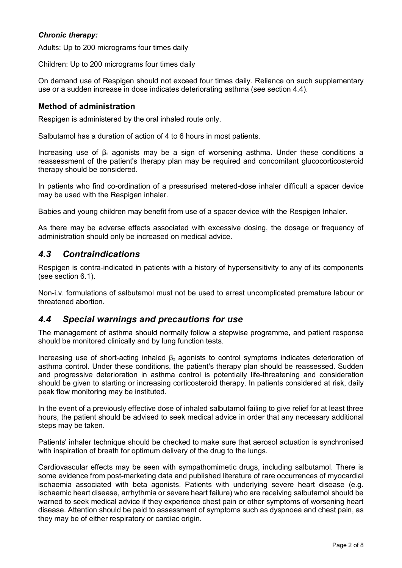### *Chronic therapy:*

Adults: Up to 200 micrograms four times daily

Children: Up to 200 micrograms four times daily

On demand use of Respigen should not exceed four times daily. Reliance on such supplementary use or a sudden increase in dose indicates deteriorating asthma (see section 4.4).

### **Method of administration**

Respigen is administered by the oral inhaled route only.

Salbutamol has a duration of action of 4 to 6 hours in most patients.

Increasing use of  $β_2$  agonists may be a sign of worsening asthma. Under these conditions a reassessment of the patient's therapy plan may be required and concomitant glucocorticosteroid therapy should be considered.

In patients who find co-ordination of a pressurised metered-dose inhaler difficult a spacer device may be used with the Respigen inhaler.

Babies and young children may benefit from use of a spacer device with the Respigen Inhaler.

As there may be adverse effects associated with excessive dosing, the dosage or frequency of administration should only be increased on medical advice.

## *4.3 Contraindications*

Respigen is contra-indicated in patients with a history of hypersensitivity to any of its components (see section 6.1).

Non-i.v. formulations of salbutamol must not be used to arrest uncomplicated premature labour or threatened abortion.

## *4.4 Special warnings and precautions for use*

The management of asthma should normally follow a stepwise programme, and patient response should be monitored clinically and by lung function tests.

Increasing use of short-acting inhaled  $β<sub>2</sub>$  agonists to control symptoms indicates deterioration of asthma control. Under these conditions, the patient's therapy plan should be reassessed. Sudden and progressive deterioration in asthma control is potentially life-threatening and consideration should be given to starting or increasing corticosteroid therapy. In patients considered at risk, daily peak flow monitoring may be instituted.

In the event of a previously effective dose of inhaled salbutamol failing to give relief for at least three hours, the patient should be advised to seek medical advice in order that any necessary additional steps may be taken.

Patients' inhaler technique should be checked to make sure that aerosol actuation is synchronised with inspiration of breath for optimum delivery of the drug to the lungs.

Cardiovascular effects may be seen with sympathomimetic drugs, including salbutamol. There is some evidence from post-marketing data and published literature of rare occurrences of myocardial ischaemia associated with beta agonists. Patients with underlying severe heart disease (e.g. ischaemic heart disease, arrhythmia or severe heart failure) who are receiving salbutamol should be warned to seek medical advice if they experience chest pain or other symptoms of worsening heart disease. Attention should be paid to assessment of symptoms such as dyspnoea and chest pain, as they may be of either respiratory or cardiac origin.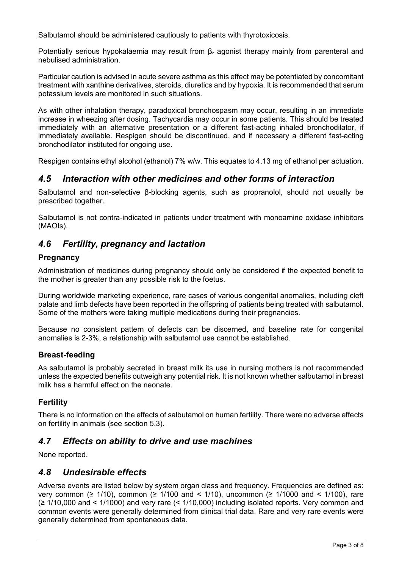Salbutamol should be administered cautiously to patients with thyrotoxicosis.

Potentially serious hypokalaemia may result from  $\beta_2$  agonist therapy mainly from parenteral and nebulised administration.

Particular caution is advised in acute severe asthma as this effect may be potentiated by concomitant treatment with xanthine derivatives, steroids, diuretics and by hypoxia. It is recommended that serum potassium levels are monitored in such situations.

As with other inhalation therapy, paradoxical bronchospasm may occur, resulting in an immediate increase in wheezing after dosing. Tachycardia may occur in some patients. This should be treated immediately with an alternative presentation or a different fast-acting inhaled bronchodilator, if immediately available. Respigen should be discontinued, and if necessary a different fast-acting bronchodilator instituted for ongoing use.

Respigen contains ethyl alcohol (ethanol) 7% w/w. This equates to 4.13 mg of ethanol per actuation.

# *4.5 Interaction with other medicines and other forms of interaction*

Salbutamol and non-selective β-blocking agents, such as propranolol, should not usually be prescribed together.

Salbutamol is not contra-indicated in patients under treatment with monoamine oxidase inhibitors (MAOIs).

# *4.6 Fertility, pregnancy and lactation*

### **Pregnancy**

Administration of medicines during pregnancy should only be considered if the expected benefit to the mother is greater than any possible risk to the foetus.

During worldwide marketing experience, rare cases of various congenital anomalies, including cleft palate and limb defects have been reported in the offspring of patients being treated with salbutamol. Some of the mothers were taking multiple medications during their pregnancies.

Because no consistent pattern of defects can be discerned, and baseline rate for congenital anomalies is 2-3%, a relationship with salbutamol use cannot be established.

### **Breast-feeding**

As salbutamol is probably secreted in breast milk its use in nursing mothers is not recommended unless the expected benefits outweigh any potential risk. It is not known whether salbutamol in breast milk has a harmful effect on the neonate.

## **Fertility**

There is no information on the effects of salbutamol on human fertility. There were no adverse effects on fertility in animals (see section 5.3).

# *4.7 Effects on ability to drive and use machines*

None reported.

# *4.8 Undesirable effects*

Adverse events are listed below by system organ class and frequency. Frequencies are defined as: very common ( $\geq$  1/10), common ( $\geq$  1/100 and < 1/10), uncommon ( $\geq$  1/1000 and < 1/100), rare (≥ 1/10,000 and < 1/1000) and very rare (< 1/10,000) including isolated reports. Very common and common events were generally determined from clinical trial data. Rare and very rare events were generally determined from spontaneous data.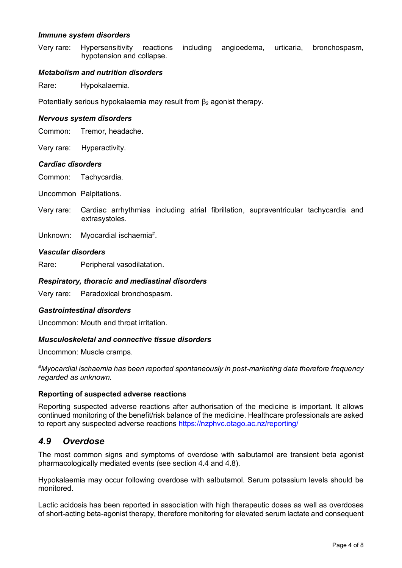#### *Immune system disorders*

Very rare: Hypersensitivity reactions including angioedema, urticaria, bronchospasm, hypotension and collapse.

#### *Metabolism and nutrition disorders*

Rare: Hypokalaemia.

Potentially serious hypokalaemia may result from β<sub>2</sub> agonist therapy.

#### *Nervous system disorders*

Common: Tremor, headache.

Very rare: Hyperactivity.

#### *Cardiac disorders*

Common: Tachycardia.

Uncommon Palpitations.

- Very rare: Cardiac arrhythmias including atrial fibrillation, supraventricular tachycardia and extrasystoles.
- Unknown: Myocardial ischaemia<sup>#</sup>.

#### *Vascular disorders*

Rare: Peripheral vasodilatation.

#### *Respiratory, thoracic and mediastinal disorders*

Very rare: Paradoxical bronchospasm.

#### *Gastrointestinal disorders*

Uncommon: Mouth and throat irritation.

#### *Musculoskeletal and connective tissue disorders*

Uncommon: Muscle cramps.

*# Myocardial ischaemia has been reported spontaneously in post-marketing data therefore frequency regarded as unknown.*

#### **Reporting of suspected adverse reactions**

Reporting suspected adverse reactions after authorisation of the medicine is important. It allows continued monitoring of the benefit/risk balance of the medicine. Healthcare professionals are asked to report any suspected adverse reactions https://nzphvc.otago.ac.nz/reporting/

### *4.9 Overdose*

The most common signs and symptoms of overdose with salbutamol are transient beta agonist pharmacologically mediated events (see section 4.4 and 4.8).

Hypokalaemia may occur following overdose with salbutamol. Serum potassium levels should be monitored.

Lactic acidosis has been reported in association with high therapeutic doses as well as overdoses of short-acting beta-agonist therapy, therefore monitoring for elevated serum lactate and consequent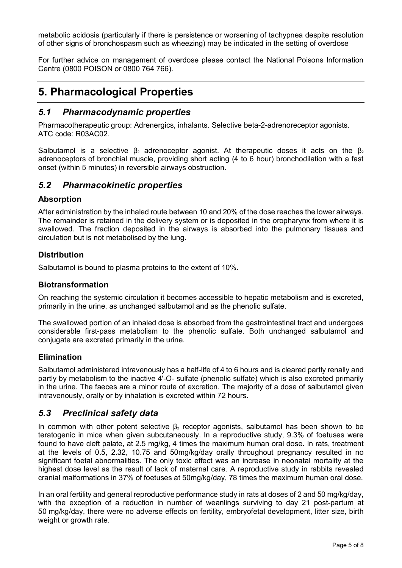metabolic acidosis (particularly if there is persistence or worsening of tachypnea despite resolution of other signs of bronchospasm such as wheezing) may be indicated in the setting of overdose

For further advice on management of overdose please contact the National Poisons Information Centre (0800 POISON or 0800 764 766).

# **5. Pharmacological Properties**

### *5.1 Pharmacodynamic properties*

Pharmacotherapeutic group: Adrenergics, inhalants. Selective beta-2-adrenoreceptor agonists. ATC code: R03AC02.

Salbutamol is a selective  $\beta_2$  adrenoceptor agonist. At therapeutic doses it acts on the  $\beta_2$ adrenoceptors of bronchial muscle, providing short acting (4 to 6 hour) bronchodilation with a fast onset (within 5 minutes) in reversible airways obstruction.

### *5.2 Pharmacokinetic properties*

#### **Absorption**

After administration by the inhaled route between 10 and 20% of the dose reaches the lower airways. The remainder is retained in the delivery system or is deposited in the oropharynx from where it is swallowed. The fraction deposited in the airways is absorbed into the pulmonary tissues and circulation but is not metabolised by the lung.

#### **Distribution**

Salbutamol is bound to plasma proteins to the extent of 10%.

#### **Biotransformation**

On reaching the systemic circulation it becomes accessible to hepatic metabolism and is excreted, primarily in the urine, as unchanged salbutamol and as the phenolic sulfate.

The swallowed portion of an inhaled dose is absorbed from the gastrointestinal tract and undergoes considerable first-pass metabolism to the phenolic sulfate. Both unchanged salbutamol and conjugate are excreted primarily in the urine.

#### **Elimination**

Salbutamol administered intravenously has a half-life of 4 to 6 hours and is cleared partly renally and partly by metabolism to the inactive 4'-O- sulfate (phenolic sulfate) which is also excreted primarily in the urine. The faeces are a minor route of excretion. The majority of a dose of salbutamol given intravenously, orally or by inhalation is excreted within 72 hours.

## *5.3 Preclinical safety data*

In common with other potent selective  $\beta_2$  receptor agonists, salbutamol has been shown to be teratogenic in mice when given subcutaneously. In a reproductive study, 9.3% of foetuses were found to have cleft palate, at 2.5 mg/kg, 4 times the maximum human oral dose. In rats, treatment at the levels of 0.5, 2.32, 10.75 and 50mg/kg/day orally throughout pregnancy resulted in no significant foetal abnormalities. The only toxic effect was an increase in neonatal mortality at the highest dose level as the result of lack of maternal care. A reproductive study in rabbits revealed cranial malformations in 37% of foetuses at 50mg/kg/day, 78 times the maximum human oral dose.

In an oral fertility and general reproductive performance study in rats at doses of 2 and 50 mg/kg/day, with the exception of a reduction in number of weanlings surviving to day 21 post-partum at 50 mg/kg/day, there were no adverse effects on fertility, embryofetal development, litter size, birth weight or growth rate.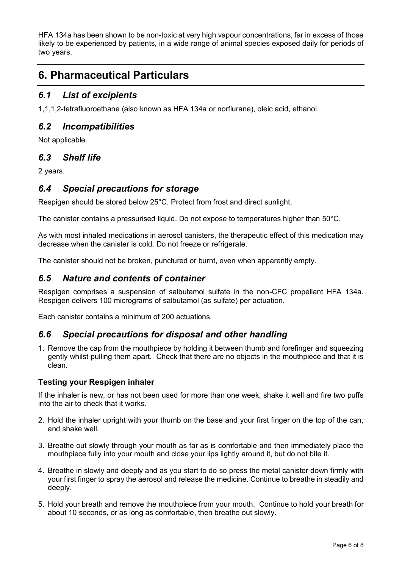HFA 134a has been shown to be non-toxic at very high vapour concentrations, far in excess of those likely to be experienced by patients, in a wide range of animal species exposed daily for periods of two years.

# **6. Pharmaceutical Particulars**

# *6.1 List of excipients*

1,1,1,2-tetrafluoroethane (also known as HFA 134a or norflurane), oleic acid, ethanol.

# *6.2 Incompatibilities*

Not applicable.

# *6.3 Shelf life*

2 years.

# *6.4 Special precautions for storage*

Respigen should be stored below 25°C. Protect from frost and direct sunlight.

The canister contains a pressurised liquid. Do not expose to temperatures higher than 50°C.

As with most inhaled medications in aerosol canisters, the therapeutic effect of this medication may decrease when the canister is cold. Do not freeze or refrigerate.

The canister should not be broken, punctured or burnt, even when apparently empty.

# *6.5 Nature and contents of container*

Respigen comprises a suspension of salbutamol sulfate in the non-CFC propellant HFA 134a. Respigen delivers 100 micrograms of salbutamol (as sulfate) per actuation.

Each canister contains a minimum of 200 actuations.

# *6.6 Special precautions for disposal and other handling*

1. Remove the cap from the mouthpiece by holding it between thumb and forefinger and squeezing gently whilst pulling them apart. Check that there are no objects in the mouthpiece and that it is clean.

## **Testing your Respigen inhaler**

If the inhaler is new, or has not been used for more than one week, shake it well and fire two puffs into the air to check that it works.

- 2. Hold the inhaler upright with your thumb on the base and your first finger on the top of the can, and shake well.
- 3. Breathe out slowly through your mouth as far as is comfortable and then immediately place the mouthpiece fully into your mouth and close your lips lightly around it, but do not bite it.
- 4. Breathe in slowly and deeply and as you start to do so press the metal canister down firmly with your first finger to spray the aerosol and release the medicine. Continue to breathe in steadily and deeply.
- 5. Hold your breath and remove the mouthpiece from your mouth. Continue to hold your breath for about 10 seconds, or as long as comfortable, then breathe out slowly.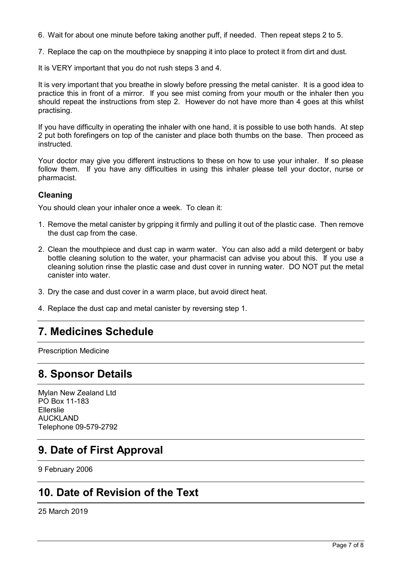6. Wait for about one minute before taking another puff, if needed. Then repeat steps 2 to 5.

7. Replace the cap on the mouthpiece by snapping it into place to protect it from dirt and dust.

It is VERY important that you do not rush steps 3 and 4.

It is very important that you breathe in slowly before pressing the metal canister. It is a good idea to practice this in front of a mirror. If you see mist coming from your mouth or the inhaler then you should repeat the instructions from step 2. However do not have more than 4 goes at this whilst practising.

If you have difficulty in operating the inhaler with one hand, it is possible to use both hands. At step 2 put both forefingers on top of the canister and place both thumbs on the base. Then proceed as instructed.

Your doctor may give you different instructions to these on how to use your inhaler. If so please follow them. If you have any difficulties in using this inhaler please tell your doctor, nurse or pharmacist.

### **Cleaning**

You should clean your inhaler once a week. To clean it:

- 1. Remove the metal canister by gripping it firmly and pulling it out of the plastic case. Then remove the dust cap from the case.
- 2. Clean the mouthpiece and dust cap in warm water. You can also add a mild detergent or baby bottle cleaning solution to the water, your pharmacist can advise you about this. If you use a cleaning solution rinse the plastic case and dust cover in running water. DO NOT put the metal canister into water.
- 3. Dry the case and dust cover in a warm place, but avoid direct heat.
- 4. Replace the dust cap and metal canister by reversing step 1.

# **7. Medicines Schedule**

Prescription Medicine

# **8. Sponsor Details**

Mylan New Zealand Ltd PO Box 11-183 Ellerslie AUCKLAND Telephone 09-579-2792

# **9. Date of First Approval**

9 February 2006

# **10. Date of Revision of the Text**

25 March 2019